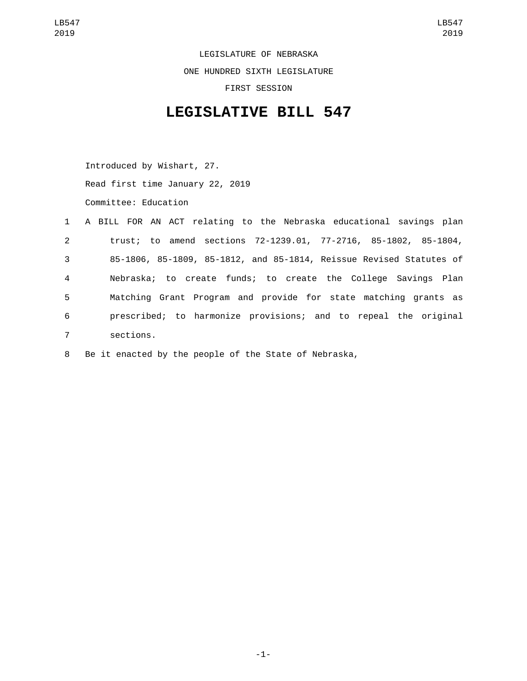LEGISLATURE OF NEBRASKA ONE HUNDRED SIXTH LEGISLATURE FIRST SESSION

## **LEGISLATIVE BILL 547**

Introduced by Wishart, 27. Read first time January 22, 2019 Committee: Education

|                | 1 A BILL FOR AN ACT relating to the Nebraska educational savings plan |
|----------------|-----------------------------------------------------------------------|
| $2^{\circ}$    | trust; to amend sections 72-1239.01, 77-2716, 85-1802, 85-1804,       |
| 3 <sup>1</sup> | 85-1806, 85-1809, 85-1812, and 85-1814, Reissue Revised Statutes of   |
| 4              | Nebraska; to create funds; to create the College Savings Plan         |
| 5              | Matching Grant Program and provide for state matching grants as       |
| 6              | prescribed; to harmonize provisions; and to repeal the original       |
| $\overline{7}$ | sections.                                                             |

8 Be it enacted by the people of the State of Nebraska,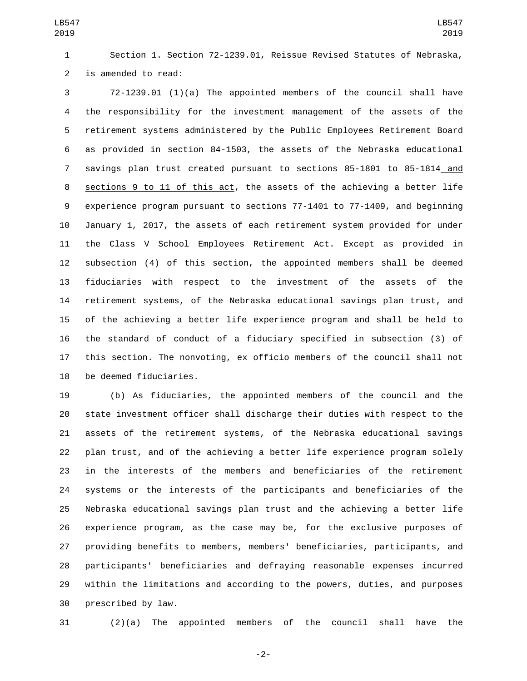Section 1. Section 72-1239.01, Reissue Revised Statutes of Nebraska, 2 is amended to read:

 72-1239.01 (1)(a) The appointed members of the council shall have the responsibility for the investment management of the assets of the retirement systems administered by the Public Employees Retirement Board as provided in section 84-1503, the assets of the Nebraska educational savings plan trust created pursuant to sections 85-1801 to 85-1814 and sections 9 to 11 of this act, the assets of the achieving a better life experience program pursuant to sections 77-1401 to 77-1409, and beginning January 1, 2017, the assets of each retirement system provided for under the Class V School Employees Retirement Act. Except as provided in subsection (4) of this section, the appointed members shall be deemed fiduciaries with respect to the investment of the assets of the retirement systems, of the Nebraska educational savings plan trust, and of the achieving a better life experience program and shall be held to the standard of conduct of a fiduciary specified in subsection (3) of this section. The nonvoting, ex officio members of the council shall not 18 be deemed fiduciaries.

 (b) As fiduciaries, the appointed members of the council and the state investment officer shall discharge their duties with respect to the assets of the retirement systems, of the Nebraska educational savings plan trust, and of the achieving a better life experience program solely in the interests of the members and beneficiaries of the retirement systems or the interests of the participants and beneficiaries of the Nebraska educational savings plan trust and the achieving a better life experience program, as the case may be, for the exclusive purposes of providing benefits to members, members' beneficiaries, participants, and participants' beneficiaries and defraying reasonable expenses incurred within the limitations and according to the powers, duties, and purposes 30 prescribed by law.

(2)(a) The appointed members of the council shall have the

-2-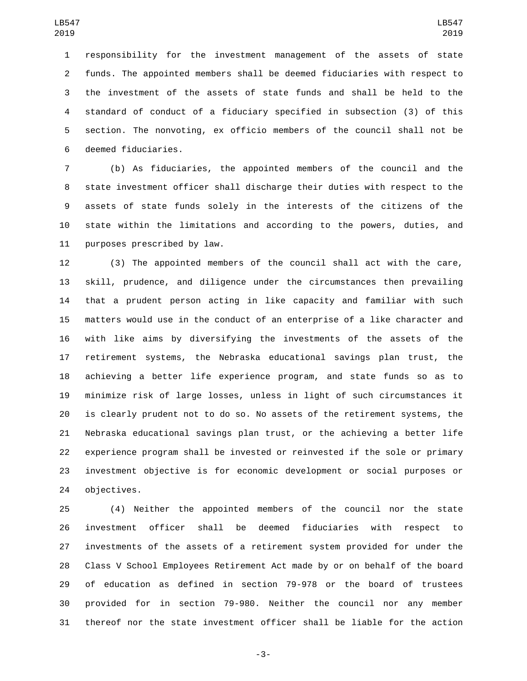responsibility for the investment management of the assets of state funds. The appointed members shall be deemed fiduciaries with respect to the investment of the assets of state funds and shall be held to the standard of conduct of a fiduciary specified in subsection (3) of this section. The nonvoting, ex officio members of the council shall not be 6 deemed fiduciaries.

 (b) As fiduciaries, the appointed members of the council and the state investment officer shall discharge their duties with respect to the assets of state funds solely in the interests of the citizens of the state within the limitations and according to the powers, duties, and 11 purposes prescribed by law.

 (3) The appointed members of the council shall act with the care, skill, prudence, and diligence under the circumstances then prevailing that a prudent person acting in like capacity and familiar with such matters would use in the conduct of an enterprise of a like character and with like aims by diversifying the investments of the assets of the retirement systems, the Nebraska educational savings plan trust, the achieving a better life experience program, and state funds so as to minimize risk of large losses, unless in light of such circumstances it is clearly prudent not to do so. No assets of the retirement systems, the Nebraska educational savings plan trust, or the achieving a better life experience program shall be invested or reinvested if the sole or primary investment objective is for economic development or social purposes or 24 objectives.

 (4) Neither the appointed members of the council nor the state investment officer shall be deemed fiduciaries with respect to investments of the assets of a retirement system provided for under the Class V School Employees Retirement Act made by or on behalf of the board of education as defined in section 79-978 or the board of trustees provided for in section 79-980. Neither the council nor any member thereof nor the state investment officer shall be liable for the action

-3-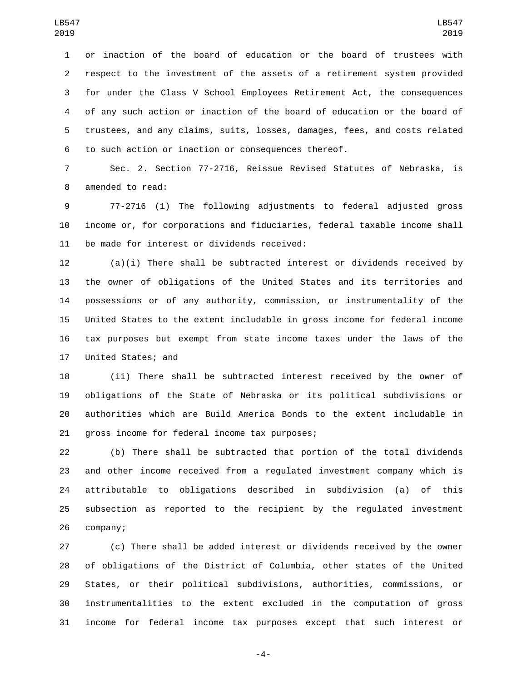or inaction of the board of education or the board of trustees with respect to the investment of the assets of a retirement system provided for under the Class V School Employees Retirement Act, the consequences of any such action or inaction of the board of education or the board of trustees, and any claims, suits, losses, damages, fees, and costs related to such action or inaction or consequences thereof.

 Sec. 2. Section 77-2716, Reissue Revised Statutes of Nebraska, is 8 amended to read:

 77-2716 (1) The following adjustments to federal adjusted gross income or, for corporations and fiduciaries, federal taxable income shall 11 be made for interest or dividends received:

 (a)(i) There shall be subtracted interest or dividends received by the owner of obligations of the United States and its territories and possessions or of any authority, commission, or instrumentality of the United States to the extent includable in gross income for federal income tax purposes but exempt from state income taxes under the laws of the 17 United States; and

 (ii) There shall be subtracted interest received by the owner of obligations of the State of Nebraska or its political subdivisions or authorities which are Build America Bonds to the extent includable in 21 gross income for federal income tax purposes;

 (b) There shall be subtracted that portion of the total dividends and other income received from a regulated investment company which is attributable to obligations described in subdivision (a) of this subsection as reported to the recipient by the regulated investment 26 company;

 (c) There shall be added interest or dividends received by the owner of obligations of the District of Columbia, other states of the United States, or their political subdivisions, authorities, commissions, or instrumentalities to the extent excluded in the computation of gross income for federal income tax purposes except that such interest or

-4-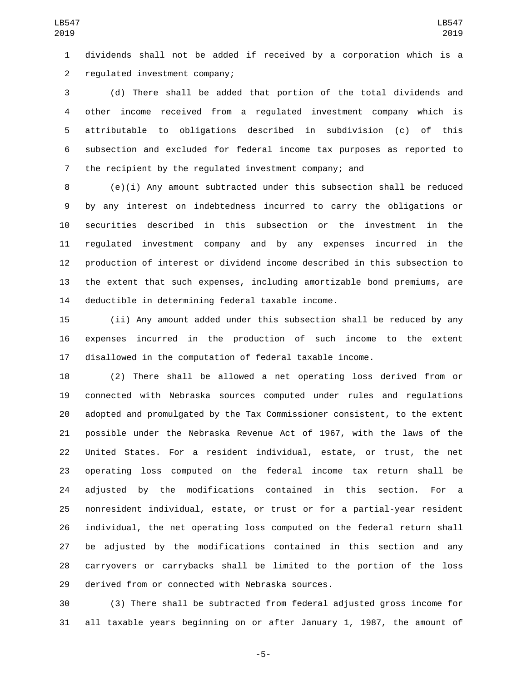dividends shall not be added if received by a corporation which is a regulated investment company;2

 (d) There shall be added that portion of the total dividends and other income received from a regulated investment company which is attributable to obligations described in subdivision (c) of this subsection and excluded for federal income tax purposes as reported to the recipient by the regulated investment company; and

 (e)(i) Any amount subtracted under this subsection shall be reduced by any interest on indebtedness incurred to carry the obligations or securities described in this subsection or the investment in the regulated investment company and by any expenses incurred in the production of interest or dividend income described in this subsection to the extent that such expenses, including amortizable bond premiums, are 14 deductible in determining federal taxable income.

 (ii) Any amount added under this subsection shall be reduced by any expenses incurred in the production of such income to the extent disallowed in the computation of federal taxable income.

 (2) There shall be allowed a net operating loss derived from or connected with Nebraska sources computed under rules and regulations adopted and promulgated by the Tax Commissioner consistent, to the extent possible under the Nebraska Revenue Act of 1967, with the laws of the United States. For a resident individual, estate, or trust, the net operating loss computed on the federal income tax return shall be adjusted by the modifications contained in this section. For a nonresident individual, estate, or trust or for a partial-year resident individual, the net operating loss computed on the federal return shall be adjusted by the modifications contained in this section and any carryovers or carrybacks shall be limited to the portion of the loss 29 derived from or connected with Nebraska sources.

 (3) There shall be subtracted from federal adjusted gross income for all taxable years beginning on or after January 1, 1987, the amount of

-5-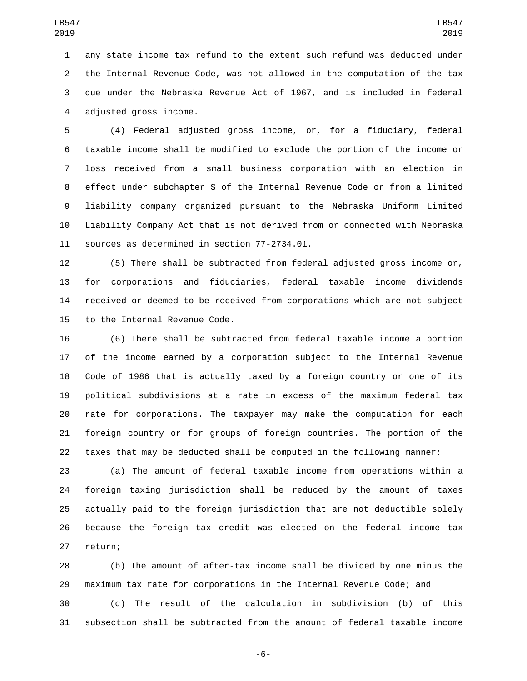any state income tax refund to the extent such refund was deducted under the Internal Revenue Code, was not allowed in the computation of the tax due under the Nebraska Revenue Act of 1967, and is included in federal 4 adjusted gross income.

 (4) Federal adjusted gross income, or, for a fiduciary, federal taxable income shall be modified to exclude the portion of the income or loss received from a small business corporation with an election in effect under subchapter S of the Internal Revenue Code or from a limited liability company organized pursuant to the Nebraska Uniform Limited Liability Company Act that is not derived from or connected with Nebraska 11 sources as determined in section 77-2734.01.

 (5) There shall be subtracted from federal adjusted gross income or, for corporations and fiduciaries, federal taxable income dividends received or deemed to be received from corporations which are not subject 15 to the Internal Revenue Code.

 (6) There shall be subtracted from federal taxable income a portion of the income earned by a corporation subject to the Internal Revenue Code of 1986 that is actually taxed by a foreign country or one of its political subdivisions at a rate in excess of the maximum federal tax rate for corporations. The taxpayer may make the computation for each foreign country or for groups of foreign countries. The portion of the taxes that may be deducted shall be computed in the following manner:

 (a) The amount of federal taxable income from operations within a foreign taxing jurisdiction shall be reduced by the amount of taxes actually paid to the foreign jurisdiction that are not deductible solely because the foreign tax credit was elected on the federal income tax 27 return;

 (b) The amount of after-tax income shall be divided by one minus the maximum tax rate for corporations in the Internal Revenue Code; and

 (c) The result of the calculation in subdivision (b) of this subsection shall be subtracted from the amount of federal taxable income

-6-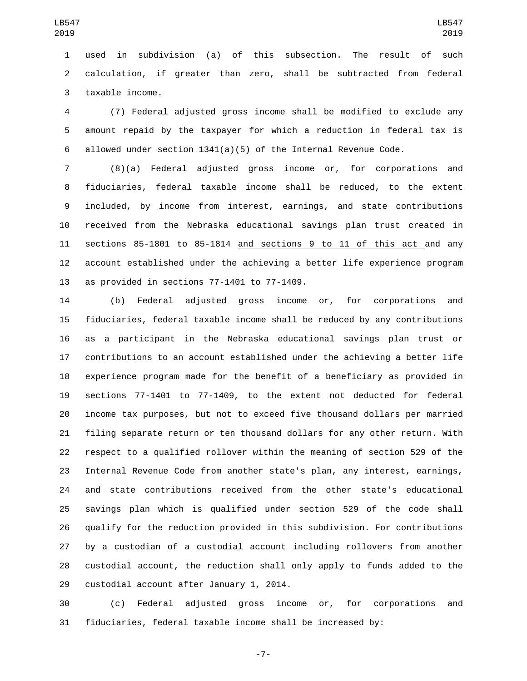used in subdivision (a) of this subsection. The result of such calculation, if greater than zero, shall be subtracted from federal 3 taxable income.

 (7) Federal adjusted gross income shall be modified to exclude any amount repaid by the taxpayer for which a reduction in federal tax is allowed under section 1341(a)(5) of the Internal Revenue Code.

 (8)(a) Federal adjusted gross income or, for corporations and fiduciaries, federal taxable income shall be reduced, to the extent included, by income from interest, earnings, and state contributions received from the Nebraska educational savings plan trust created in sections 85-1801 to 85-1814 and sections 9 to 11 of this act and any account established under the achieving a better life experience program 13 as provided in sections  $77-1401$  to  $77-1409$ .

 (b) Federal adjusted gross income or, for corporations and fiduciaries, federal taxable income shall be reduced by any contributions as a participant in the Nebraska educational savings plan trust or contributions to an account established under the achieving a better life experience program made for the benefit of a beneficiary as provided in sections 77-1401 to 77-1409, to the extent not deducted for federal income tax purposes, but not to exceed five thousand dollars per married filing separate return or ten thousand dollars for any other return. With respect to a qualified rollover within the meaning of section 529 of the Internal Revenue Code from another state's plan, any interest, earnings, and state contributions received from the other state's educational savings plan which is qualified under section 529 of the code shall qualify for the reduction provided in this subdivision. For contributions by a custodian of a custodial account including rollovers from another custodial account, the reduction shall only apply to funds added to the 29 custodial account after January 1, 2014.

 (c) Federal adjusted gross income or, for corporations and fiduciaries, federal taxable income shall be increased by:

-7-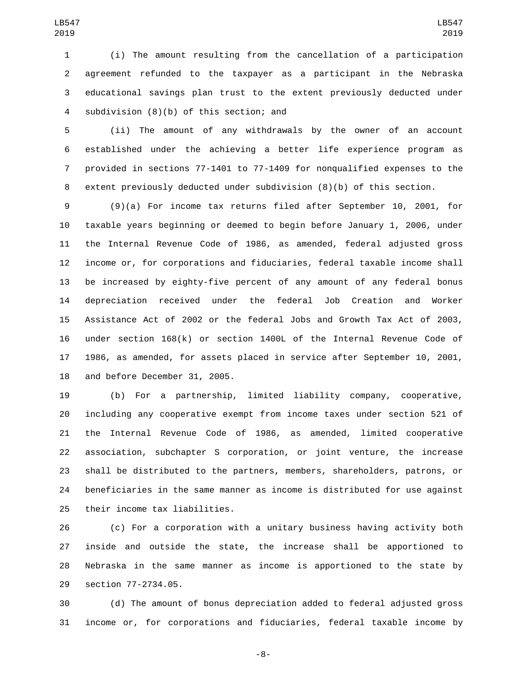(i) The amount resulting from the cancellation of a participation agreement refunded to the taxpayer as a participant in the Nebraska educational savings plan trust to the extent previously deducted under 4 subdivision (8)(b) of this section; and

 (ii) The amount of any withdrawals by the owner of an account established under the achieving a better life experience program as provided in sections 77-1401 to 77-1409 for nonqualified expenses to the extent previously deducted under subdivision (8)(b) of this section.

 (9)(a) For income tax returns filed after September 10, 2001, for taxable years beginning or deemed to begin before January 1, 2006, under the Internal Revenue Code of 1986, as amended, federal adjusted gross income or, for corporations and fiduciaries, federal taxable income shall be increased by eighty-five percent of any amount of any federal bonus depreciation received under the federal Job Creation and Worker Assistance Act of 2002 or the federal Jobs and Growth Tax Act of 2003, under section 168(k) or section 1400L of the Internal Revenue Code of 1986, as amended, for assets placed in service after September 10, 2001, 18 and before December 31, 2005.

 (b) For a partnership, limited liability company, cooperative, including any cooperative exempt from income taxes under section 521 of the Internal Revenue Code of 1986, as amended, limited cooperative association, subchapter S corporation, or joint venture, the increase shall be distributed to the partners, members, shareholders, patrons, or beneficiaries in the same manner as income is distributed for use against 25 their income tax liabilities.

 (c) For a corporation with a unitary business having activity both inside and outside the state, the increase shall be apportioned to Nebraska in the same manner as income is apportioned to the state by 29 section 77-2734.05.

 (d) The amount of bonus depreciation added to federal adjusted gross income or, for corporations and fiduciaries, federal taxable income by

-8-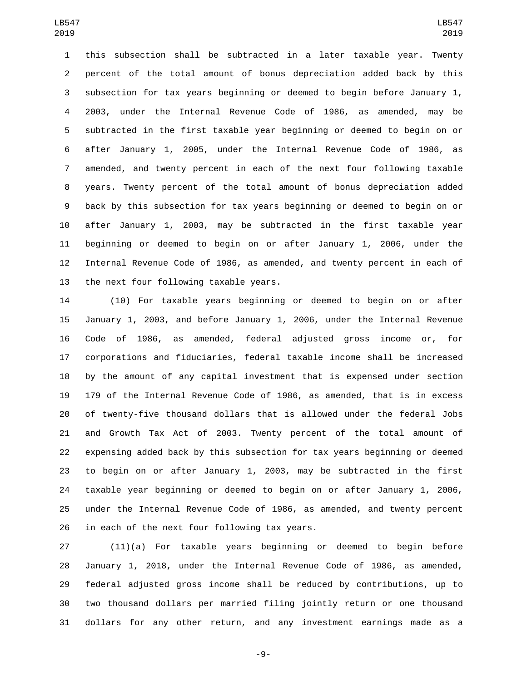this subsection shall be subtracted in a later taxable year. Twenty percent of the total amount of bonus depreciation added back by this subsection for tax years beginning or deemed to begin before January 1, 2003, under the Internal Revenue Code of 1986, as amended, may be subtracted in the first taxable year beginning or deemed to begin on or after January 1, 2005, under the Internal Revenue Code of 1986, as amended, and twenty percent in each of the next four following taxable years. Twenty percent of the total amount of bonus depreciation added back by this subsection for tax years beginning or deemed to begin on or after January 1, 2003, may be subtracted in the first taxable year beginning or deemed to begin on or after January 1, 2006, under the Internal Revenue Code of 1986, as amended, and twenty percent in each of 13 the next four following taxable years.

 (10) For taxable years beginning or deemed to begin on or after January 1, 2003, and before January 1, 2006, under the Internal Revenue Code of 1986, as amended, federal adjusted gross income or, for corporations and fiduciaries, federal taxable income shall be increased by the amount of any capital investment that is expensed under section 179 of the Internal Revenue Code of 1986, as amended, that is in excess of twenty-five thousand dollars that is allowed under the federal Jobs and Growth Tax Act of 2003. Twenty percent of the total amount of expensing added back by this subsection for tax years beginning or deemed to begin on or after January 1, 2003, may be subtracted in the first taxable year beginning or deemed to begin on or after January 1, 2006, under the Internal Revenue Code of 1986, as amended, and twenty percent in each of the next four following tax years.

 (11)(a) For taxable years beginning or deemed to begin before January 1, 2018, under the Internal Revenue Code of 1986, as amended, federal adjusted gross income shall be reduced by contributions, up to two thousand dollars per married filing jointly return or one thousand dollars for any other return, and any investment earnings made as a

-9-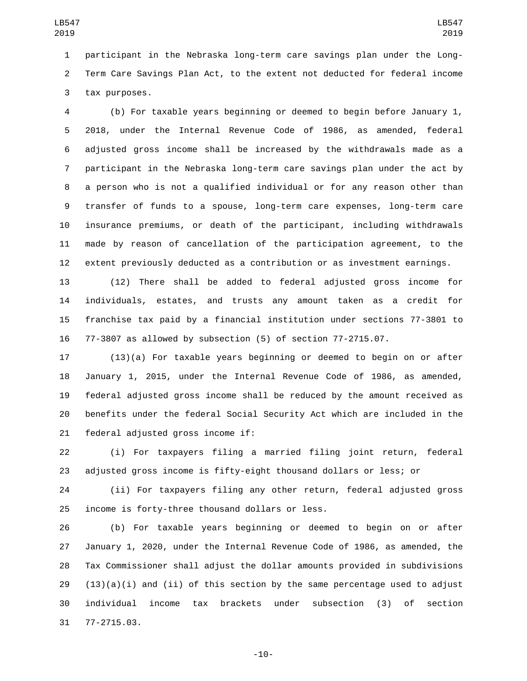participant in the Nebraska long-term care savings plan under the Long- Term Care Savings Plan Act, to the extent not deducted for federal income 3 tax purposes.

 (b) For taxable years beginning or deemed to begin before January 1, 2018, under the Internal Revenue Code of 1986, as amended, federal adjusted gross income shall be increased by the withdrawals made as a participant in the Nebraska long-term care savings plan under the act by a person who is not a qualified individual or for any reason other than transfer of funds to a spouse, long-term care expenses, long-term care insurance premiums, or death of the participant, including withdrawals made by reason of cancellation of the participation agreement, to the extent previously deducted as a contribution or as investment earnings.

 (12) There shall be added to federal adjusted gross income for individuals, estates, and trusts any amount taken as a credit for franchise tax paid by a financial institution under sections 77-3801 to 77-3807 as allowed by subsection (5) of section 77-2715.07.

 (13)(a) For taxable years beginning or deemed to begin on or after January 1, 2015, under the Internal Revenue Code of 1986, as amended, federal adjusted gross income shall be reduced by the amount received as benefits under the federal Social Security Act which are included in the 21 federal adjusted gross income if:

 (i) For taxpayers filing a married filing joint return, federal adjusted gross income is fifty-eight thousand dollars or less; or

 (ii) For taxpayers filing any other return, federal adjusted gross 25 income is forty-three thousand dollars or less.

 (b) For taxable years beginning or deemed to begin on or after January 1, 2020, under the Internal Revenue Code of 1986, as amended, the Tax Commissioner shall adjust the dollar amounts provided in subdivisions  $(13)(a)(i)$  and  $(ii)$  of this section by the same percentage used to adjust individual income tax brackets under subsection (3) of section 31 77-2715.03.

-10-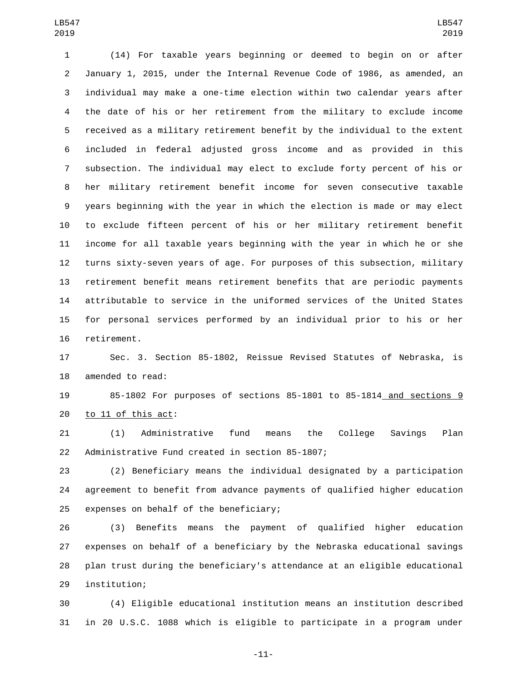(14) For taxable years beginning or deemed to begin on or after January 1, 2015, under the Internal Revenue Code of 1986, as amended, an individual may make a one-time election within two calendar years after the date of his or her retirement from the military to exclude income received as a military retirement benefit by the individual to the extent included in federal adjusted gross income and as provided in this subsection. The individual may elect to exclude forty percent of his or her military retirement benefit income for seven consecutive taxable years beginning with the year in which the election is made or may elect to exclude fifteen percent of his or her military retirement benefit income for all taxable years beginning with the year in which he or she turns sixty-seven years of age. For purposes of this subsection, military retirement benefit means retirement benefits that are periodic payments attributable to service in the uniformed services of the United States for personal services performed by an individual prior to his or her 16 retirement.

 Sec. 3. Section 85-1802, Reissue Revised Statutes of Nebraska, is 18 amended to read:

 85-1802 For purposes of sections 85-1801 to 85-1814 and sections 9 to 11 of this act:

 (1) Administrative fund means the College Savings Plan 22 Administrative Fund created in section 85-1807;

 (2) Beneficiary means the individual designated by a participation agreement to benefit from advance payments of qualified higher education 25 expenses on behalf of the beneficiary;

 (3) Benefits means the payment of qualified higher education expenses on behalf of a beneficiary by the Nebraska educational savings plan trust during the beneficiary's attendance at an eligible educational 29 institution;

 (4) Eligible educational institution means an institution described in 20 U.S.C. 1088 which is eligible to participate in a program under

-11-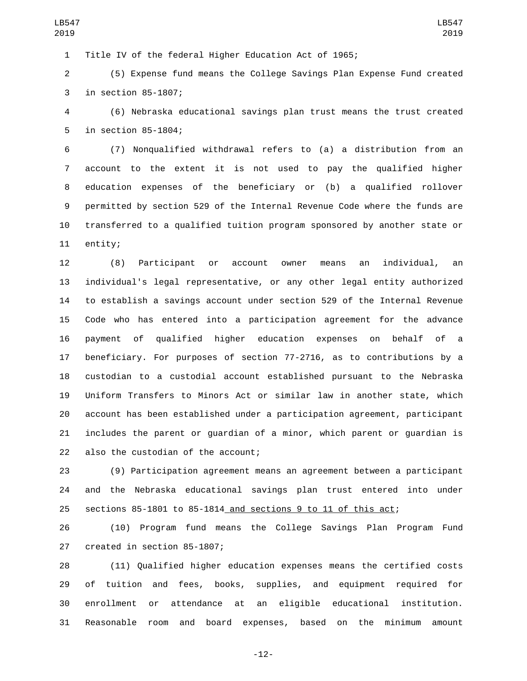Title IV of the federal Higher Education Act of 1965;

 (5) Expense fund means the College Savings Plan Expense Fund created 3 in section 85-1807;

 (6) Nebraska educational savings plan trust means the trust created 5 in section 85-1804;

 (7) Nonqualified withdrawal refers to (a) a distribution from an account to the extent it is not used to pay the qualified higher education expenses of the beneficiary or (b) a qualified rollover permitted by section 529 of the Internal Revenue Code where the funds are transferred to a qualified tuition program sponsored by another state or 11 entity;

 (8) Participant or account owner means an individual, an individual's legal representative, or any other legal entity authorized to establish a savings account under section 529 of the Internal Revenue Code who has entered into a participation agreement for the advance payment of qualified higher education expenses on behalf of a beneficiary. For purposes of section 77-2716, as to contributions by a custodian to a custodial account established pursuant to the Nebraska Uniform Transfers to Minors Act or similar law in another state, which account has been established under a participation agreement, participant includes the parent or guardian of a minor, which parent or guardian is 22 also the custodian of the account;

 (9) Participation agreement means an agreement between a participant and the Nebraska educational savings plan trust entered into under sections 85-1801 to 85-1814 and sections 9 to 11 of this act;

 (10) Program fund means the College Savings Plan Program Fund 27 created in section 85-1807;

 (11) Qualified higher education expenses means the certified costs of tuition and fees, books, supplies, and equipment required for enrollment or attendance at an eligible educational institution. Reasonable room and board expenses, based on the minimum amount

-12-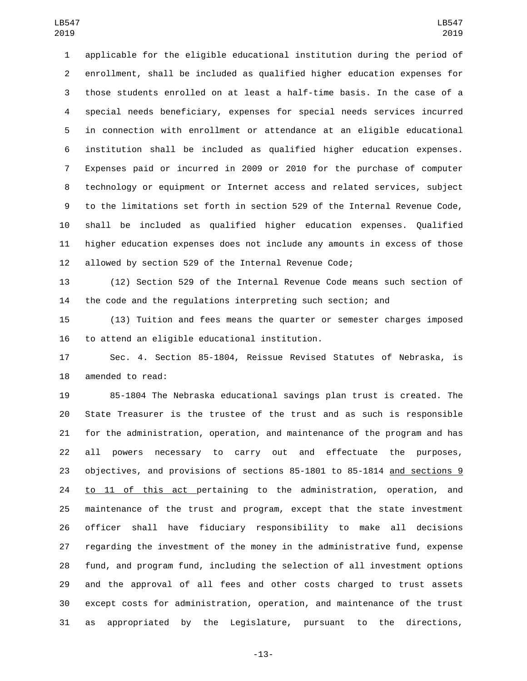applicable for the eligible educational institution during the period of enrollment, shall be included as qualified higher education expenses for those students enrolled on at least a half-time basis. In the case of a special needs beneficiary, expenses for special needs services incurred in connection with enrollment or attendance at an eligible educational institution shall be included as qualified higher education expenses. Expenses paid or incurred in 2009 or 2010 for the purchase of computer technology or equipment or Internet access and related services, subject to the limitations set forth in section 529 of the Internal Revenue Code, shall be included as qualified higher education expenses. Qualified higher education expenses does not include any amounts in excess of those allowed by section 529 of the Internal Revenue Code;

 (12) Section 529 of the Internal Revenue Code means such section of the code and the regulations interpreting such section; and

 (13) Tuition and fees means the quarter or semester charges imposed 16 to attend an eligible educational institution.

 Sec. 4. Section 85-1804, Reissue Revised Statutes of Nebraska, is 18 amended to read:

 85-1804 The Nebraska educational savings plan trust is created. The State Treasurer is the trustee of the trust and as such is responsible for the administration, operation, and maintenance of the program and has all powers necessary to carry out and effectuate the purposes, objectives, and provisions of sections 85-1801 to 85-1814 and sections 9 24 to 11 of this act pertaining to the administration, operation, and maintenance of the trust and program, except that the state investment officer shall have fiduciary responsibility to make all decisions regarding the investment of the money in the administrative fund, expense fund, and program fund, including the selection of all investment options and the approval of all fees and other costs charged to trust assets except costs for administration, operation, and maintenance of the trust as appropriated by the Legislature, pursuant to the directions,

-13-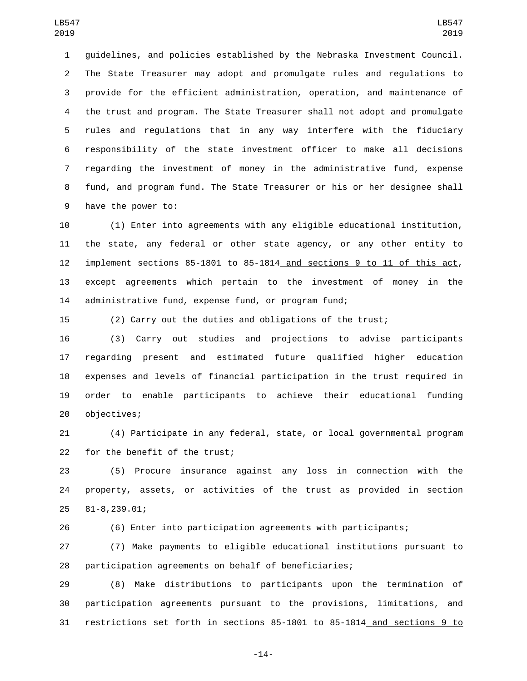guidelines, and policies established by the Nebraska Investment Council. The State Treasurer may adopt and promulgate rules and regulations to provide for the efficient administration, operation, and maintenance of the trust and program. The State Treasurer shall not adopt and promulgate rules and regulations that in any way interfere with the fiduciary responsibility of the state investment officer to make all decisions regarding the investment of money in the administrative fund, expense fund, and program fund. The State Treasurer or his or her designee shall 9 have the power to:

 (1) Enter into agreements with any eligible educational institution, the state, any federal or other state agency, or any other entity to implement sections 85-1801 to 85-1814 and sections 9 to 11 of this act, except agreements which pertain to the investment of money in the administrative fund, expense fund, or program fund;

(2) Carry out the duties and obligations of the trust;

 (3) Carry out studies and projections to advise participants regarding present and estimated future qualified higher education expenses and levels of financial participation in the trust required in order to enable participants to achieve their educational funding 20 objectives;

 (4) Participate in any federal, state, or local governmental program 22 for the benefit of the trust;

 (5) Procure insurance against any loss in connection with the property, assets, or activities of the trust as provided in section 81-8,239.01;25

(6) Enter into participation agreements with participants;

 (7) Make payments to eligible educational institutions pursuant to participation agreements on behalf of beneficiaries;

 (8) Make distributions to participants upon the termination of participation agreements pursuant to the provisions, limitations, and restrictions set forth in sections 85-1801 to 85-1814 and sections 9 to

-14-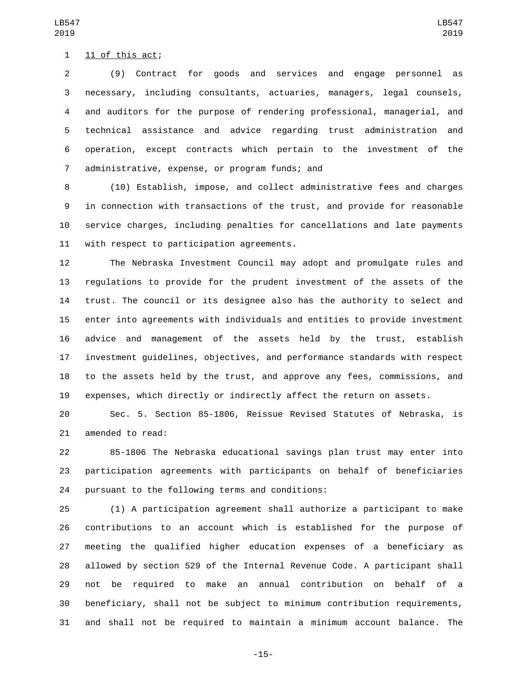$11$  of this act;

 (9) Contract for goods and services and engage personnel as necessary, including consultants, actuaries, managers, legal counsels, and auditors for the purpose of rendering professional, managerial, and technical assistance and advice regarding trust administration and operation, except contracts which pertain to the investment of the 7 administrative, expense, or program funds; and

 (10) Establish, impose, and collect administrative fees and charges in connection with transactions of the trust, and provide for reasonable service charges, including penalties for cancellations and late payments 11 with respect to participation agreements.

 The Nebraska Investment Council may adopt and promulgate rules and regulations to provide for the prudent investment of the assets of the trust. The council or its designee also has the authority to select and enter into agreements with individuals and entities to provide investment advice and management of the assets held by the trust, establish investment guidelines, objectives, and performance standards with respect to the assets held by the trust, and approve any fees, commissions, and expenses, which directly or indirectly affect the return on assets.

 Sec. 5. Section 85-1806, Reissue Revised Statutes of Nebraska, is 21 amended to read:

 85-1806 The Nebraska educational savings plan trust may enter into participation agreements with participants on behalf of beneficiaries 24 pursuant to the following terms and conditions:

 (1) A participation agreement shall authorize a participant to make contributions to an account which is established for the purpose of meeting the qualified higher education expenses of a beneficiary as allowed by section 529 of the Internal Revenue Code. A participant shall not be required to make an annual contribution on behalf of a beneficiary, shall not be subject to minimum contribution requirements, and shall not be required to maintain a minimum account balance. The

LB547 

-15-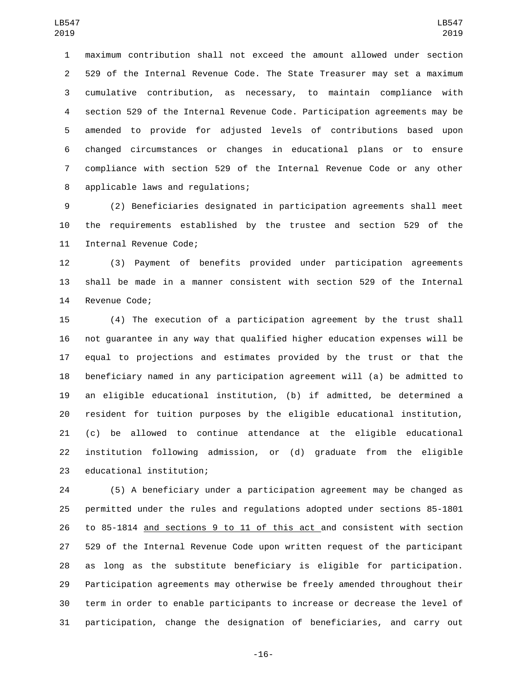maximum contribution shall not exceed the amount allowed under section 529 of the Internal Revenue Code. The State Treasurer may set a maximum cumulative contribution, as necessary, to maintain compliance with section 529 of the Internal Revenue Code. Participation agreements may be amended to provide for adjusted levels of contributions based upon changed circumstances or changes in educational plans or to ensure compliance with section 529 of the Internal Revenue Code or any other 8 applicable laws and regulations;

 (2) Beneficiaries designated in participation agreements shall meet the requirements established by the trustee and section 529 of the 11 Internal Revenue Code;

 (3) Payment of benefits provided under participation agreements shall be made in a manner consistent with section 529 of the Internal 14 Revenue Code;

 (4) The execution of a participation agreement by the trust shall not guarantee in any way that qualified higher education expenses will be equal to projections and estimates provided by the trust or that the beneficiary named in any participation agreement will (a) be admitted to an eligible educational institution, (b) if admitted, be determined a resident for tuition purposes by the eligible educational institution, (c) be allowed to continue attendance at the eligible educational institution following admission, or (d) graduate from the eligible 23 educational institution;

 (5) A beneficiary under a participation agreement may be changed as permitted under the rules and regulations adopted under sections 85-1801 to 85-1814 and sections 9 to 11 of this act and consistent with section 529 of the Internal Revenue Code upon written request of the participant as long as the substitute beneficiary is eligible for participation. Participation agreements may otherwise be freely amended throughout their term in order to enable participants to increase or decrease the level of participation, change the designation of beneficiaries, and carry out

-16-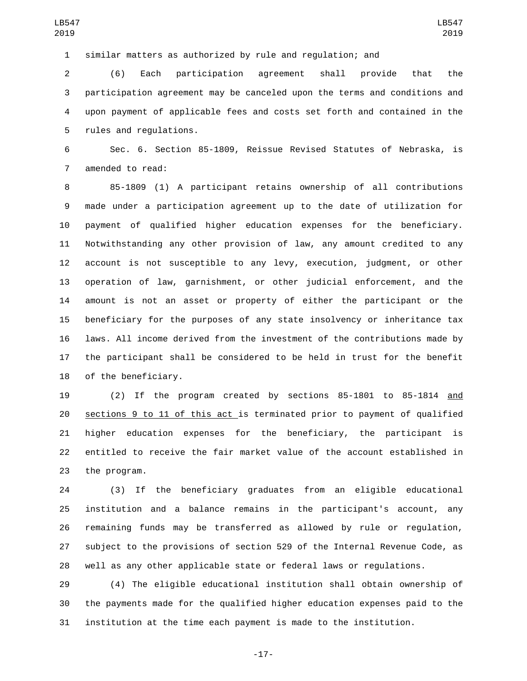similar matters as authorized by rule and regulation; and

 (6) Each participation agreement shall provide that the participation agreement may be canceled upon the terms and conditions and upon payment of applicable fees and costs set forth and contained in the 5 rules and regulations.

 Sec. 6. Section 85-1809, Reissue Revised Statutes of Nebraska, is 7 amended to read:

 85-1809 (1) A participant retains ownership of all contributions made under a participation agreement up to the date of utilization for payment of qualified higher education expenses for the beneficiary. Notwithstanding any other provision of law, any amount credited to any account is not susceptible to any levy, execution, judgment, or other operation of law, garnishment, or other judicial enforcement, and the amount is not an asset or property of either the participant or the beneficiary for the purposes of any state insolvency or inheritance tax laws. All income derived from the investment of the contributions made by the participant shall be considered to be held in trust for the benefit 18 of the beneficiary.

 (2) If the program created by sections 85-1801 to 85-1814 and sections 9 to 11 of this act is terminated prior to payment of qualified higher education expenses for the beneficiary, the participant is entitled to receive the fair market value of the account established in 23 the program.

 (3) If the beneficiary graduates from an eligible educational institution and a balance remains in the participant's account, any remaining funds may be transferred as allowed by rule or regulation, subject to the provisions of section 529 of the Internal Revenue Code, as well as any other applicable state or federal laws or regulations.

 (4) The eligible educational institution shall obtain ownership of the payments made for the qualified higher education expenses paid to the institution at the time each payment is made to the institution.

-17-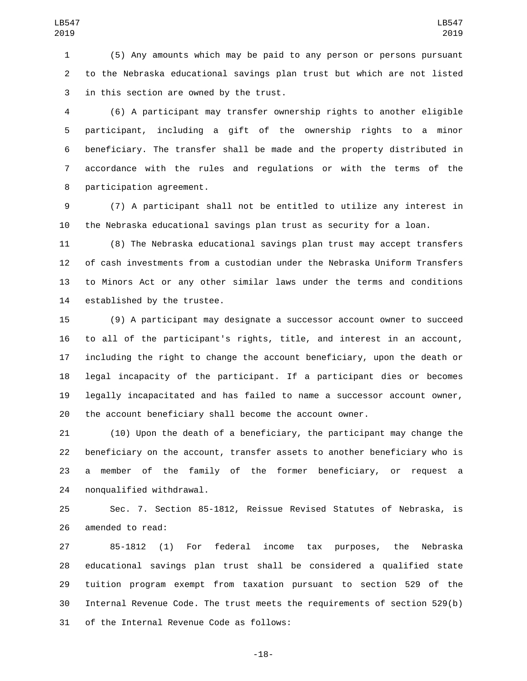(5) Any amounts which may be paid to any person or persons pursuant to the Nebraska educational savings plan trust but which are not listed 3 in this section are owned by the trust.

 (6) A participant may transfer ownership rights to another eligible participant, including a gift of the ownership rights to a minor beneficiary. The transfer shall be made and the property distributed in accordance with the rules and regulations or with the terms of the 8 participation agreement.

 (7) A participant shall not be entitled to utilize any interest in the Nebraska educational savings plan trust as security for a loan.

 (8) The Nebraska educational savings plan trust may accept transfers of cash investments from a custodian under the Nebraska Uniform Transfers to Minors Act or any other similar laws under the terms and conditions 14 established by the trustee.

 (9) A participant may designate a successor account owner to succeed to all of the participant's rights, title, and interest in an account, including the right to change the account beneficiary, upon the death or legal incapacity of the participant. If a participant dies or becomes legally incapacitated and has failed to name a successor account owner, the account beneficiary shall become the account owner.

 (10) Upon the death of a beneficiary, the participant may change the beneficiary on the account, transfer assets to another beneficiary who is a member of the family of the former beneficiary, or request a 24 nonqualified withdrawal.

 Sec. 7. Section 85-1812, Reissue Revised Statutes of Nebraska, is 26 amended to read:

 85-1812 (1) For federal income tax purposes, the Nebraska educational savings plan trust shall be considered a qualified state tuition program exempt from taxation pursuant to section 529 of the Internal Revenue Code. The trust meets the requirements of section 529(b) 31 of the Internal Revenue Code as follows:

-18-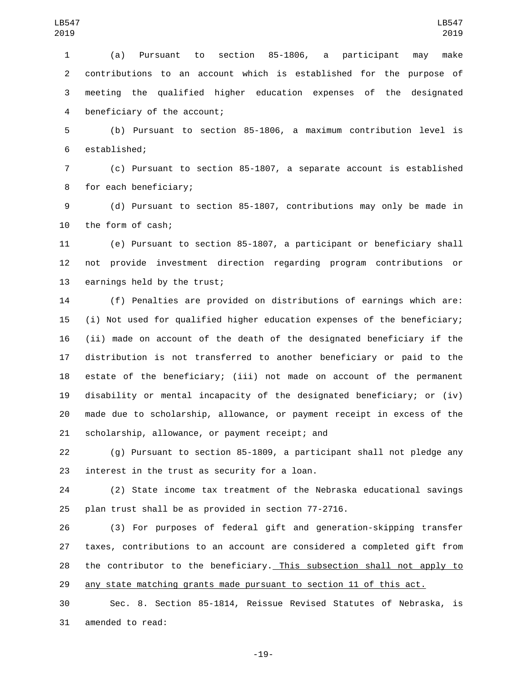(a) Pursuant to section 85-1806, a participant may make contributions to an account which is established for the purpose of meeting the qualified higher education expenses of the designated 4 beneficiary of the account;

 (b) Pursuant to section 85-1806, a maximum contribution level is 6 established;

 (c) Pursuant to section 85-1807, a separate account is established 8 for each beneficiary;

 (d) Pursuant to section 85-1807, contributions may only be made in 10 the form of cash;

 (e) Pursuant to section 85-1807, a participant or beneficiary shall not provide investment direction regarding program contributions or 13 earnings held by the trust;

 (f) Penalties are provided on distributions of earnings which are: (i) Not used for qualified higher education expenses of the beneficiary; (ii) made on account of the death of the designated beneficiary if the distribution is not transferred to another beneficiary or paid to the estate of the beneficiary; (iii) not made on account of the permanent disability or mental incapacity of the designated beneficiary; or (iv) made due to scholarship, allowance, or payment receipt in excess of the 21 scholarship, allowance, or payment receipt; and

 (g) Pursuant to section 85-1809, a participant shall not pledge any 23 interest in the trust as security for a loan.

 (2) State income tax treatment of the Nebraska educational savings plan trust shall be as provided in section 77-2716.

 (3) For purposes of federal gift and generation-skipping transfer taxes, contributions to an account are considered a completed gift from the contributor to the beneficiary. This subsection shall not apply to 29 any state matching grants made pursuant to section 11 of this act.

 Sec. 8. Section 85-1814, Reissue Revised Statutes of Nebraska, is 31 amended to read:

-19-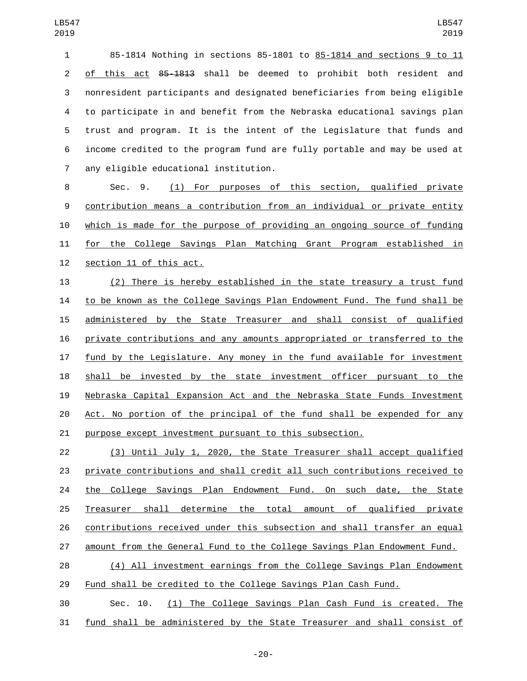85-1814 Nothing in sections 85-1801 to 85-1814 and sections 9 to 11 2 of this act 8<del>5-1813</del> shall be deemed to prohibit both resident and nonresident participants and designated beneficiaries from being eligible to participate in and benefit from the Nebraska educational savings plan trust and program. It is the intent of the Legislature that funds and income credited to the program fund are fully portable and may be used at any eligible educational institution.7

 Sec. 9. (1) For purposes of this section, qualified private contribution means a contribution from an individual or private entity which is made for the purpose of providing an ongoing source of funding for the College Savings Plan Matching Grant Program established in 12 section 11 of this act.

 (2) There is hereby established in the state treasury a trust fund to be known as the College Savings Plan Endowment Fund. The fund shall be administered by the State Treasurer and shall consist of qualified private contributions and any amounts appropriated or transferred to the fund by the Legislature. Any money in the fund available for investment shall be invested by the state investment officer pursuant to the Nebraska Capital Expansion Act and the Nebraska State Funds Investment Act. No portion of the principal of the fund shall be expended for any purpose except investment pursuant to this subsection.

 (3) Until July 1, 2020, the State Treasurer shall accept qualified private contributions and shall credit all such contributions received to 24 the College Savings Plan Endowment Fund. On such date, the State Treasurer shall determine the total amount of qualified private contributions received under this subsection and shall transfer an equal amount from the General Fund to the College Savings Plan Endowment Fund.

 (4) All investment earnings from the College Savings Plan Endowment Fund shall be credited to the College Savings Plan Cash Fund.

 Sec. 10. (1) The College Savings Plan Cash Fund is created. The fund shall be administered by the State Treasurer and shall consist of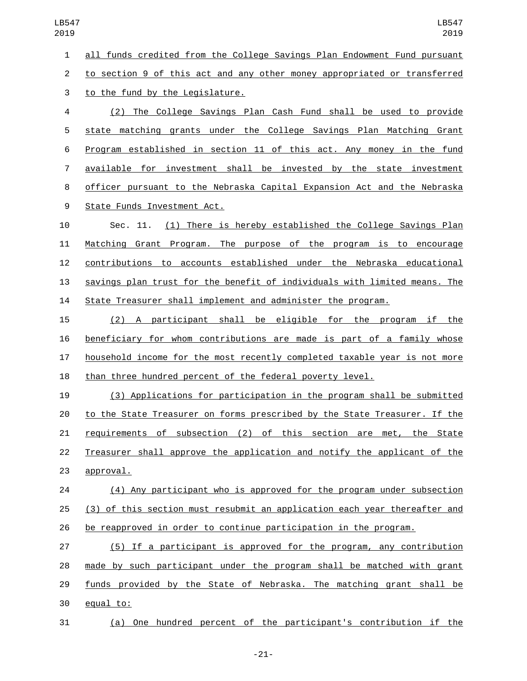all funds credited from the College Savings Plan Endowment Fund pursuant

to section 9 of this act and any other money appropriated or transferred

3 to the fund by the Legislature.

 (2) The College Savings Plan Cash Fund shall be used to provide state matching grants under the College Savings Plan Matching Grant Program established in section 11 of this act. Any money in the fund available for investment shall be invested by the state investment officer pursuant to the Nebraska Capital Expansion Act and the Nebraska 9 State Funds Investment Act.

 Sec. 11. (1) There is hereby established the College Savings Plan Matching Grant Program. The purpose of the program is to encourage contributions to accounts established under the Nebraska educational savings plan trust for the benefit of individuals with limited means. The State Treasurer shall implement and administer the program.

 (2) A participant shall be eligible for the program if the beneficiary for whom contributions are made is part of a family whose household income for the most recently completed taxable year is not more than three hundred percent of the federal poverty level.

 (3) Applications for participation in the program shall be submitted to the State Treasurer on forms prescribed by the State Treasurer. If the requirements of subsection (2) of this section are met, the State Treasurer shall approve the application and notify the applicant of the 23 approval.

 (4) Any participant who is approved for the program under subsection (3) of this section must resubmit an application each year thereafter and be reapproved in order to continue participation in the program.

 (5) If a participant is approved for the program, any contribution made by such participant under the program shall be matched with grant 29 funds provided by the State of Nebraska. The matching grant shall be 30 equal to:

(a) One hundred percent of the participant's contribution if the